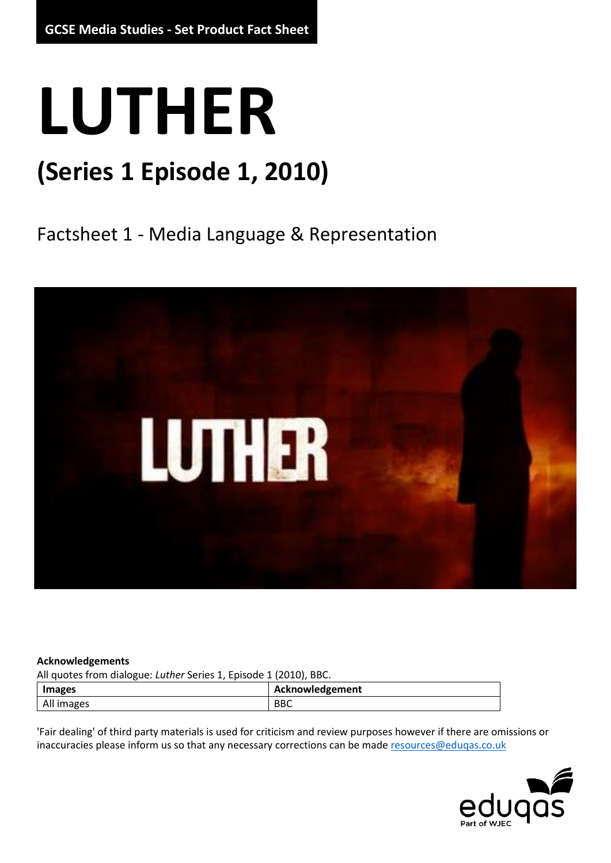## **LUTHER**

### **(Series 1 Episode 1, 2010)**

Factsheet 1 - Media Language & Representation



#### **Acknowledgements**

All quotes from dialogue: *Luther* Series 1, Episode 1 (2010), BBC.

| <b>Images</b> | Acknowledgement |
|---------------|-----------------|
| All images    | <b>BBC</b>      |

'Fair dealing' of third party materials is used for criticism and review purposes however if there are omissions or inaccuracies please inform us so that any necessary corrections can be mad[e resources@eduqas.co.uk](mailto:resources@eduqas.co.uk)

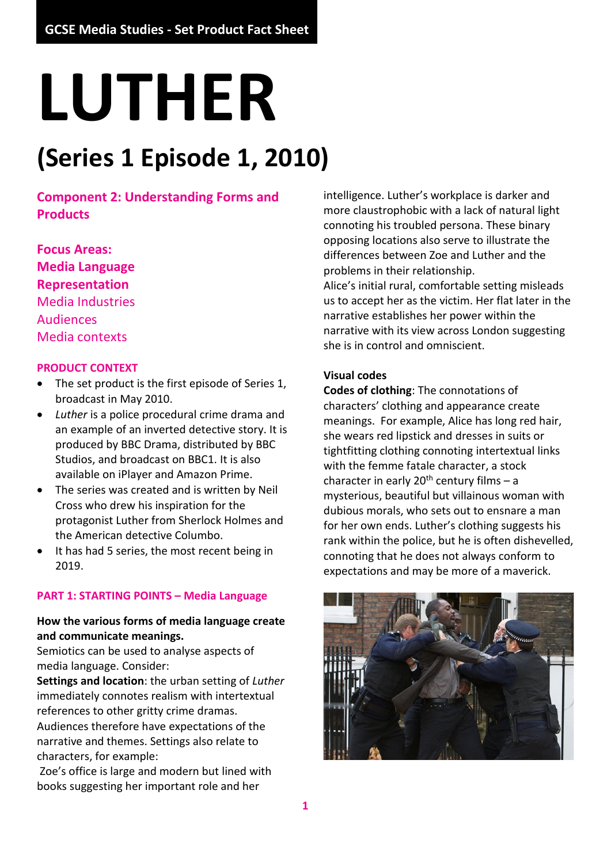# **LUTHER**

## **(Series 1 Episode 1, 2010)**

**Component 2: Understanding Forms and Products**

**Focus Areas: Media Language Representation** Media Industries Audiences Media contexts

#### **PRODUCT CONTEXT**

- The set product is the first episode of Series 1, broadcast in May 2010.
- *Luther* is a police procedural crime drama and an example of an inverted detective story. It is produced by BBC Drama, distributed by BBC Studios, and broadcast on BBC1. It is also available on iPlayer and Amazon Prime.
- The series was created and is written by Neil Cross who drew his inspiration for the protagonist Luther from Sherlock Holmes and the American detective Columbo.
- It has had 5 series, the most recent being in 2019.

#### **PART 1: STARTING POINTS – Media Language**

#### **How the various forms of media language create and communicate meanings.**

Semiotics can be used to analyse aspects of media language. Consider:

**Settings and location**: the urban setting of *Luther* immediately connotes realism with intertextual references to other gritty crime dramas. Audiences therefore have expectations of the narrative and themes. Settings also relate to characters, for example:

Zoe's office is large and modern but lined with books suggesting her important role and her

intelligence. Luther's workplace is darker and more claustrophobic with a lack of natural light connoting his troubled persona. These binary opposing locations also serve to illustrate the differences between Zoe and Luther and the problems in their relationship.

Alice's initial rural, comfortable setting misleads us to accept her as the victim. Her flat later in the narrative establishes her power within the narrative with its view across London suggesting she is in control and omniscient.

#### **Visual codes**

**Codes of clothing**: The connotations of characters' clothing and appearance create meanings. For example, Alice has long red hair, she wears red lipstick and dresses in suits or tightfitting clothing connoting intertextual links with the femme fatale character, a stock character in early  $20<sup>th</sup>$  century films – a mysterious, beautiful but villainous woman with dubious morals, who sets out to ensnare a man for her own ends. Luther's clothing suggests his rank within the police, but he is often dishevelled, connoting that he does not always conform to expectations and may be more of a maverick.

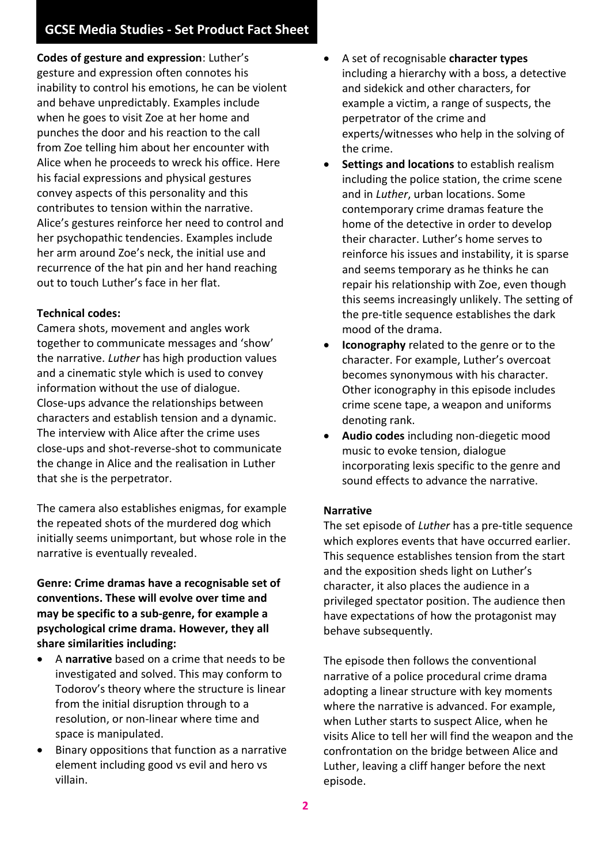**Codes of gesture and expression**: Luther's gesture and expression often connotes his inability to control his emotions, he can be violent and behave unpredictably. Examples include when he goes to visit Zoe at her home and punches the door and his reaction to the call from Zoe telling him about her encounter with Alice when he proceeds to wreck his office. Here his facial expressions and physical gestures convey aspects of this personality and this contributes to tension within the narrative. Alice's gestures reinforce her need to control and her psychopathic tendencies. Examples include her arm around Zoe's neck, the initial use and recurrence of the hat pin and her hand reaching out to touch Luther's face in her flat.

#### **Technical codes:**

Camera shots, movement and angles work together to communicate messages and 'show' the narrative. *Luther* has high production values and a cinematic style which is used to convey information without the use of dialogue. Close-ups advance the relationships between characters and establish tension and a dynamic. The interview with Alice after the crime uses close-ups and shot-reverse-shot to communicate the change in Alice and the realisation in Luther that she is the perpetrator.

The camera also establishes enigmas, for example the repeated shots of the murdered dog which initially seems unimportant, but whose role in the narrative is eventually revealed.

**Genre: Crime dramas have a recognisable set of conventions. These will evolve over time and may be specific to a sub-genre, for example a psychological crime drama. However, they all share similarities including:**

- A **narrative** based on a crime that needs to be investigated and solved. This may conform to Todorov's theory where the structure is linear from the initial disruption through to a resolution, or non-linear where time and space is manipulated.
- Binary oppositions that function as a narrative element including good vs evil and hero vs villain.
- A set of recognisable **character types** including a hierarchy with a boss, a detective and sidekick and other characters, for example a victim, a range of suspects, the perpetrator of the crime and experts/witnesses who help in the solving of the crime.
- **Settings and locations** to establish realism including the police station, the crime scene and in *Luther*, urban locations. Some contemporary crime dramas feature the home of the detective in order to develop their character. Luther's home serves to reinforce his issues and instability, it is sparse and seems temporary as he thinks he can repair his relationship with Zoe, even though this seems increasingly unlikely. The setting of the pre-title sequence establishes the dark mood of the drama.
- **Iconography** related to the genre or to the character. For example, Luther's overcoat becomes synonymous with his character. Other iconography in this episode includes crime scene tape, a weapon and uniforms denoting rank.
- **Audio codes** including non-diegetic mood music to evoke tension, dialogue incorporating lexis specific to the genre and sound effects to advance the narrative.

#### **Narrative**

The set episode of *Luther* has a pre-title sequence which explores events that have occurred earlier. This sequence establishes tension from the start and the exposition sheds light on Luther's character, it also places the audience in a privileged spectator position. The audience then have expectations of how the protagonist may behave subsequently.

The episode then follows the conventional narrative of a police procedural crime drama adopting a linear structure with key moments where the narrative is advanced. For example, when Luther starts to suspect Alice, when he visits Alice to tell her will find the weapon and the confrontation on the bridge between Alice and Luther, leaving a cliff hanger before the next episode.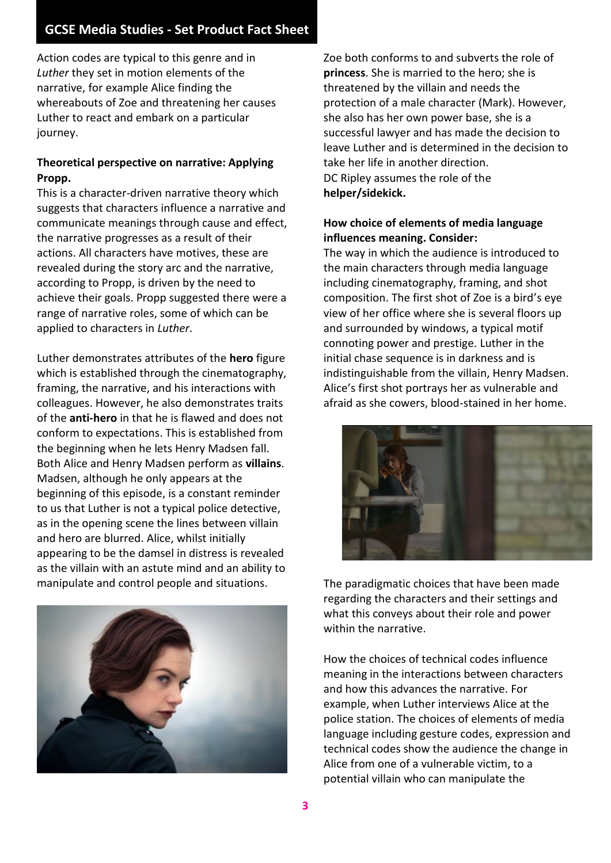Action codes are typical to this genre and in *Luther* they set in motion elements of the narrative, for example Alice finding the whereabouts of Zoe and threatening her causes Luther to react and embark on a particular journey.

#### **Theoretical perspective on narrative: Applying Propp.**

This is a character-driven narrative theory which suggests that characters influence a narrative and communicate meanings through cause and effect, the narrative progresses as a result of their actions. All characters have motives, these are revealed during the story arc and the narrative, according to Propp, is driven by the need to achieve their goals. Propp suggested there were a range of narrative roles, some of which can be applied to characters in *Luther*.

Luther demonstrates attributes of the **hero** figure which is established through the cinematography, framing, the narrative, and his interactions with colleagues. However, he also demonstrates traits of the **anti-hero** in that he is flawed and does not conform to expectations. This is established from the beginning when he lets Henry Madsen fall. Both Alice and Henry Madsen perform as **villains**. Madsen, although he only appears at the beginning of this episode, is a constant reminder to us that Luther is not a typical police detective, as in the opening scene the lines between villain and hero are blurred. Alice, whilst initially appearing to be the damsel in distress is revealed as the villain with an astute mind and an ability to manipulate and control people and situations.



Zoe both conforms to and subverts the role of **princess**. She is married to the hero; she is threatened by the villain and needs the protection of a male character (Mark). However, she also has her own power base, she is a successful lawyer and has made the decision to leave Luther and is determined in the decision to take her life in another direction. DC Ripley assumes the role of the **helper/sidekick.**

#### **How choice of elements of media language influences meaning. Consider:**

The way in which the audience is introduced to the main characters through media language including cinematography, framing, and shot composition. The first shot of Zoe is a bird's eye view of her office where she is several floors up and surrounded by windows, a typical motif connoting power and prestige. Luther in the initial chase sequence is in darkness and is indistinguishable from the villain, Henry Madsen. Alice's first shot portrays her as vulnerable and afraid as she cowers, blood-stained in her home.



The paradigmatic choices that have been made regarding the characters and their settings and what this conveys about their role and power within the narrative.

How the choices of technical codes influence meaning in the interactions between characters and how this advances the narrative. For example, when Luther interviews Alice at the police station. The choices of elements of media language including gesture codes, expression and technical codes show the audience the change in Alice from one of a vulnerable victim, to a potential villain who can manipulate the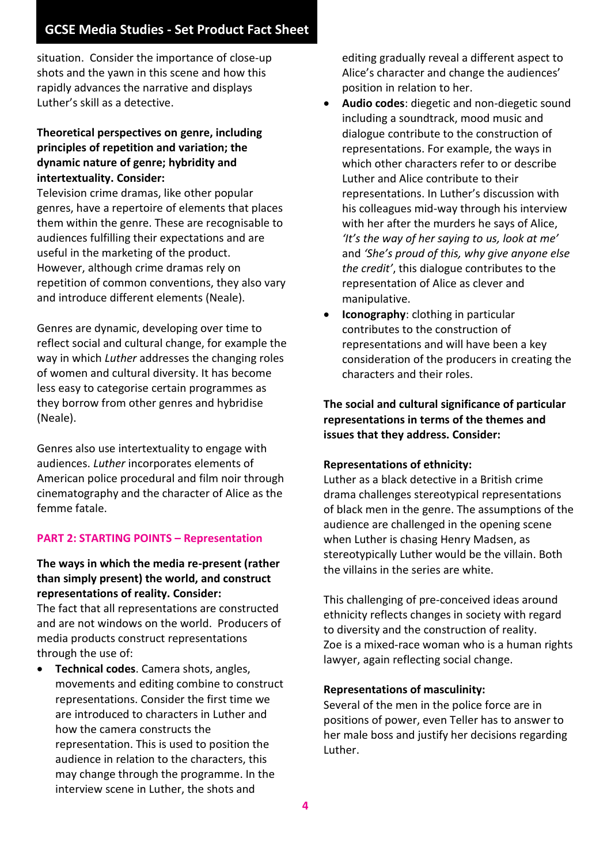situation. Consider the importance of close-up shots and the yawn in this scene and how this rapidly advances the narrative and displays Luther's skill as a detective.

#### **Theoretical perspectives on genre, including principles of repetition and variation; the dynamic nature of genre; hybridity and intertextuality. Consider:**

Television crime dramas, like other popular genres, have a repertoire of elements that places them within the genre. These are recognisable to audiences fulfilling their expectations and are useful in the marketing of the product. However, although crime dramas rely on repetition of common conventions, they also vary and introduce different elements (Neale).

Genres are dynamic, developing over time to reflect social and cultural change, for example the way in which *Luther* addresses the changing roles of women and cultural diversity. It has become less easy to categorise certain programmes as they borrow from other genres and hybridise (Neale).

Genres also use intertextuality to engage with audiences. *Luther* incorporates elements of American police procedural and film noir through cinematography and the character of Alice as the femme fatale.

#### **PART 2: STARTING POINTS – Representation**

#### **The ways in which the media re-present (rather than simply present) the world, and construct representations of reality. Consider:**

The fact that all representations are constructed and are not windows on the world. Producers of media products construct representations through the use of:

• **Technical codes**. Camera shots, angles, movements and editing combine to construct representations. Consider the first time we are introduced to characters in Luther and how the camera constructs the representation. This is used to position the audience in relation to the characters, this may change through the programme. In the interview scene in Luther, the shots and

editing gradually reveal a different aspect to Alice's character and change the audiences' position in relation to her.

- **Audio codes**: diegetic and non-diegetic sound including a soundtrack, mood music and dialogue contribute to the construction of representations. For example, the ways in which other characters refer to or describe Luther and Alice contribute to their representations. In Luther's discussion with his colleagues mid-way through his interview with her after the murders he says of Alice, *'It's the way of her saying to us, look at me'*  and *'She's proud of this, why give anyone else the credit'*, this dialogue contributes to the representation of Alice as clever and manipulative.
- **Iconography**: clothing in particular contributes to the construction of representations and will have been a key consideration of the producers in creating the characters and their roles.

**The social and cultural significance of particular representations in terms of the themes and issues that they address. Consider:**

#### **Representations of ethnicity:**

Luther as a black detective in a British crime drama challenges stereotypical representations of black men in the genre. The assumptions of the audience are challenged in the opening scene when Luther is chasing Henry Madsen, as stereotypically Luther would be the villain. Both the villains in the series are white.

This challenging of pre-conceived ideas around ethnicity reflects changes in society with regard to diversity and the construction of reality. Zoe is a mixed-race woman who is a human rights lawyer, again reflecting social change.

#### **Representations of masculinity:**

Several of the men in the police force are in positions of power, even Teller has to answer to her male boss and justify her decisions regarding Luther.